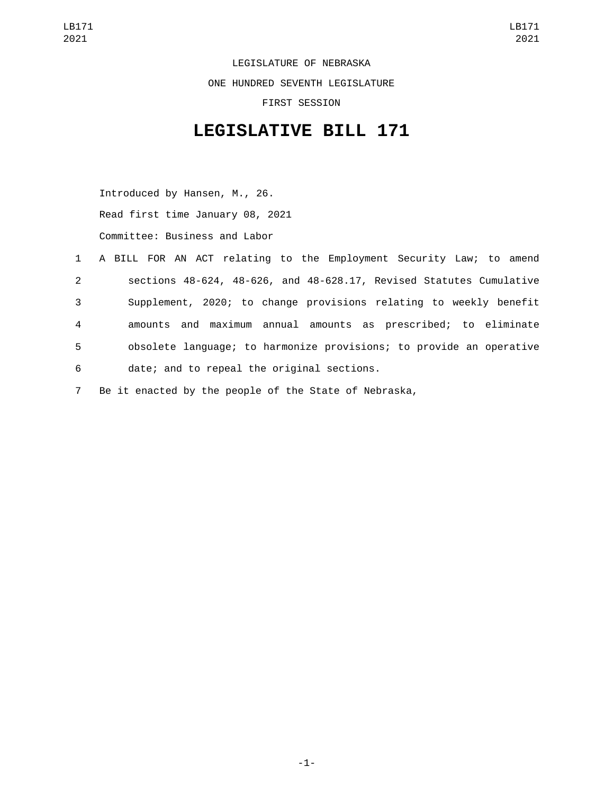LEGISLATURE OF NEBRASKA ONE HUNDRED SEVENTH LEGISLATURE FIRST SESSION

## **LEGISLATIVE BILL 171**

Introduced by Hansen, M., 26. Read first time January 08, 2021 Committee: Business and Labor

|             | 1 A BILL FOR AN ACT relating to the Employment Security Law; to amend |
|-------------|-----------------------------------------------------------------------|
| $2^{\circ}$ | sections 48-624, 48-626, and 48-628.17, Revised Statutes Cumulative   |
| 3           | Supplement, 2020; to change provisions relating to weekly benefit     |
| 4           | amounts and maximum annual amounts as prescribed; to eliminate        |
| 5           | obsolete language; to harmonize provisions; to provide an operative   |
| 6           | date; and to repeal the original sections.                            |

7 Be it enacted by the people of the State of Nebraska,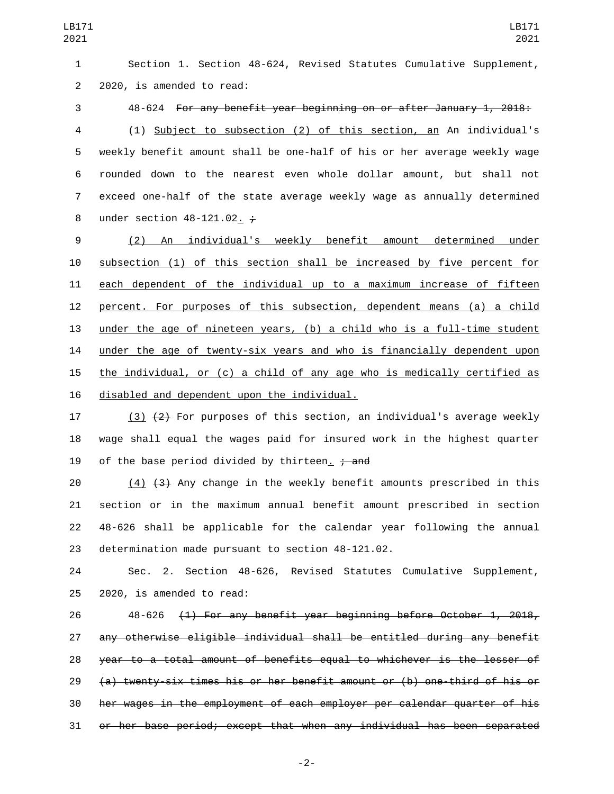Section 1. Section 48-624, Revised Statutes Cumulative Supplement, 2 2020, is amended to read:

 48-624 For any benefit year beginning on or after January 1, 2018: (1) Subject to subsection (2) of this section, an An individual's weekly benefit amount shall be one-half of his or her average weekly wage rounded down to the nearest even whole dollar amount, but shall not exceed one-half of the state average weekly wage as annually determined 8 under section  $48-121.02. \div$ 

 (2) An individual's weekly benefit amount determined under subsection (1) of this section shall be increased by five percent for each dependent of the individual up to a maximum increase of fifteen percent. For purposes of this subsection, dependent means (a) a child under the age of nineteen years, (b) a child who is a full-time student under the age of twenty-six years and who is financially dependent upon the individual, or (c) a child of any age who is medically certified as 16 disabled and dependent upon the individual.

17 (3)  $(2)$  For purposes of this section, an individual's average weekly wage shall equal the wages paid for insured work in the highest quarter 19 of the base period divided by thirteen.  $\frac{1}{2}$  and

 $(4)$   $(3)$  Any change in the weekly benefit amounts prescribed in this section or in the maximum annual benefit amount prescribed in section 48-626 shall be applicable for the calendar year following the annual 23 determination made pursuant to section 48-121.02.

 Sec. 2. Section 48-626, Revised Statutes Cumulative Supplement,  $2020$ , is amended to read:

 48-626 (1) For any benefit year beginning before October 1, 2018, any otherwise eligible individual shall be entitled during any benefit year to a total amount of benefits equal to whichever is the lesser of (a) twenty-six times his or her benefit amount or (b) one-third of his or her wages in the employment of each employer per calendar quarter of his or her base period; except that when any individual has been separated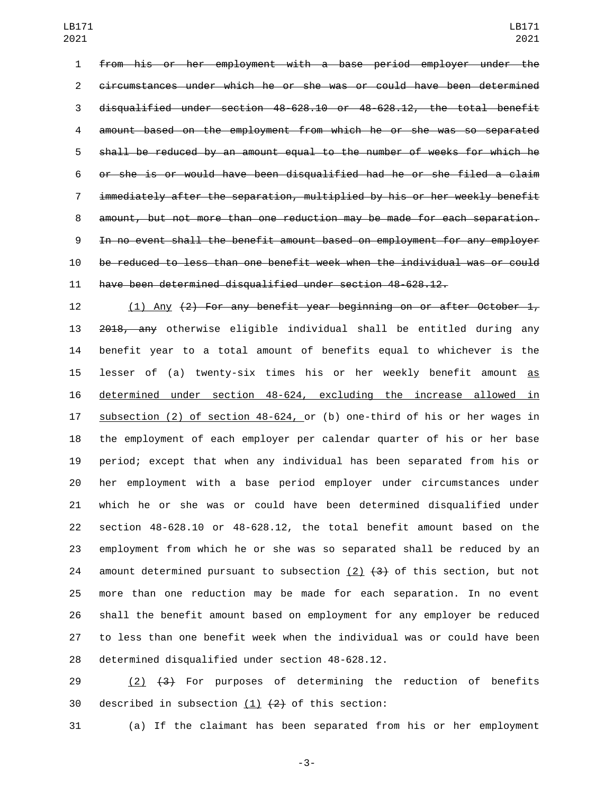from his or her employment with a base period employer under the circumstances under which he or she was or could have been determined disqualified under section 48-628.10 or 48-628.12, the total benefit amount based on the employment from which he or she was so separated shall be reduced by an amount equal to the number of weeks for which he or she is or would have been disqualified had he or she filed a claim immediately after the separation, multiplied by his or her weekly benefit amount, but not more than one reduction may be made for each separation. In no event shall the benefit amount based on employment for any employer be reduced to less than one benefit week when the individual was or could have been determined disqualified under section 48-628.12.

 (1) Any (2) For any benefit year beginning on or after October 1, 2018, any otherwise eligible individual shall be entitled during any benefit year to a total amount of benefits equal to whichever is the 15 lesser of (a) twenty-six times his or her weekly benefit amount as determined under section 48-624, excluding the increase allowed in subsection (2) of section 48-624, or (b) one-third of his or her wages in the employment of each employer per calendar quarter of his or her base period; except that when any individual has been separated from his or her employment with a base period employer under circumstances under which he or she was or could have been determined disqualified under section 48-628.10 or 48-628.12, the total benefit amount based on the employment from which he or she was so separated shall be reduced by an 24 amount determined pursuant to subsection  $(2)$   $(3)$  of this section, but not more than one reduction may be made for each separation. In no event shall the benefit amount based on employment for any employer be reduced to less than one benefit week when the individual was or could have been 28 determined disqualified under section 48-628.12.

29  $(2)$   $(3)$  For purposes of determining the reduction of benefits 30 described in subsection  $(1)$   $(2)$  of this section:

(a) If the claimant has been separated from his or her employment

-3-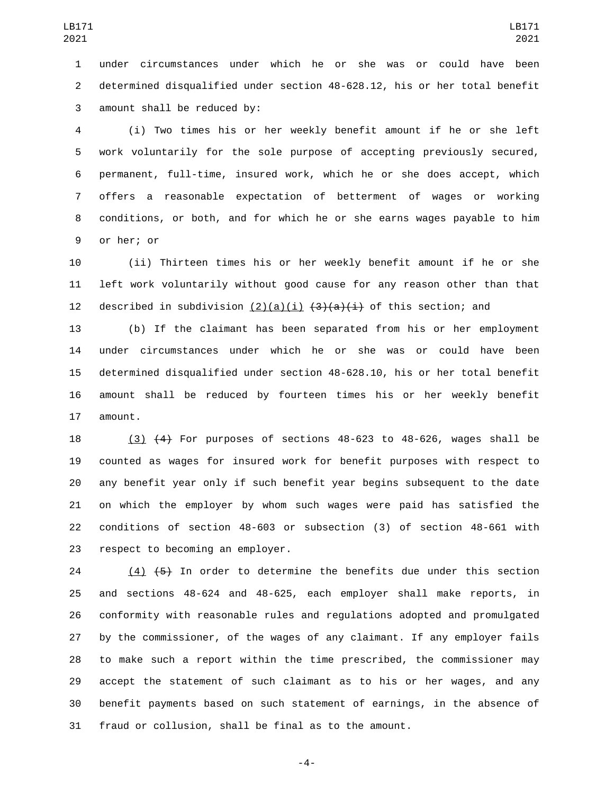under circumstances under which he or she was or could have been determined disqualified under section 48-628.12, his or her total benefit 3 amount shall be reduced by:

 (i) Two times his or her weekly benefit amount if he or she left work voluntarily for the sole purpose of accepting previously secured, permanent, full-time, insured work, which he or she does accept, which offers a reasonable expectation of betterment of wages or working conditions, or both, and for which he or she earns wages payable to him 9 or her; or

 (ii) Thirteen times his or her weekly benefit amount if he or she left work voluntarily without good cause for any reason other than that 12 described in subdivision  $(2)(a)(i)$   $(3)(a)(i)$  of this section; and

 (b) If the claimant has been separated from his or her employment under circumstances under which he or she was or could have been determined disqualified under section 48-628.10, his or her total benefit amount shall be reduced by fourteen times his or her weekly benefit 17 amount.

 (3) (4) For purposes of sections 48-623 to 48-626, wages shall be counted as wages for insured work for benefit purposes with respect to any benefit year only if such benefit year begins subsequent to the date on which the employer by whom such wages were paid has satisfied the conditions of section 48-603 or subsection (3) of section 48-661 with 23 respect to becoming an employer.

 $(4)$   $(5)$  In order to determine the benefits due under this section and sections 48-624 and 48-625, each employer shall make reports, in conformity with reasonable rules and regulations adopted and promulgated by the commissioner, of the wages of any claimant. If any employer fails to make such a report within the time prescribed, the commissioner may accept the statement of such claimant as to his or her wages, and any benefit payments based on such statement of earnings, in the absence of fraud or collusion, shall be final as to the amount.

-4-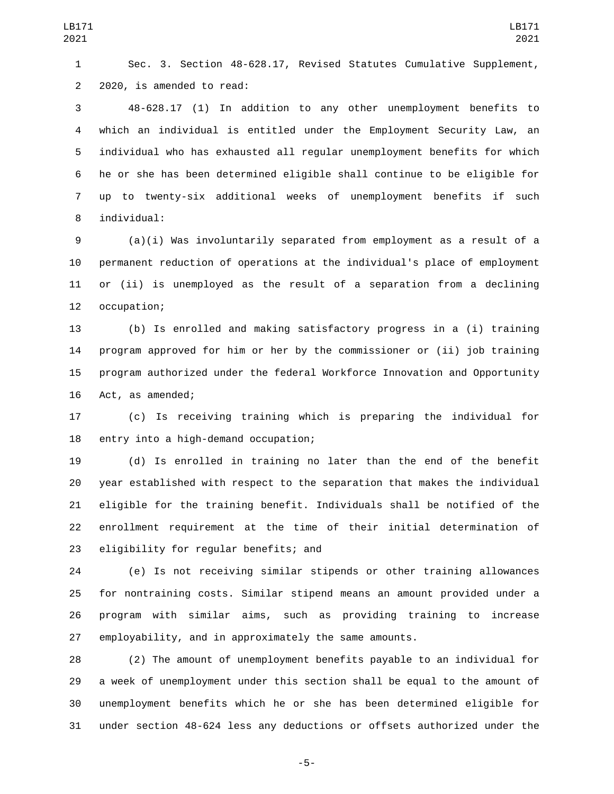Sec. 3. Section 48-628.17, Revised Statutes Cumulative Supplement, 2 2020, is amended to read:

 48-628.17 (1) In addition to any other unemployment benefits to which an individual is entitled under the Employment Security Law, an individual who has exhausted all regular unemployment benefits for which he or she has been determined eligible shall continue to be eligible for up to twenty-six additional weeks of unemployment benefits if such 8 individual:

 (a)(i) Was involuntarily separated from employment as a result of a permanent reduction of operations at the individual's place of employment or (ii) is unemployed as the result of a separation from a declining 12 occupation;

 (b) Is enrolled and making satisfactory progress in a (i) training program approved for him or her by the commissioner or (ii) job training program authorized under the federal Workforce Innovation and Opportunity 16 Act, as amended;

 (c) Is receiving training which is preparing the individual for 18 entry into a high-demand occupation;

 (d) Is enrolled in training no later than the end of the benefit year established with respect to the separation that makes the individual eligible for the training benefit. Individuals shall be notified of the enrollment requirement at the time of their initial determination of 23 eligibility for regular benefits; and

 (e) Is not receiving similar stipends or other training allowances for nontraining costs. Similar stipend means an amount provided under a program with similar aims, such as providing training to increase employability, and in approximately the same amounts.

 (2) The amount of unemployment benefits payable to an individual for a week of unemployment under this section shall be equal to the amount of unemployment benefits which he or she has been determined eligible for under section 48-624 less any deductions or offsets authorized under the

-5-